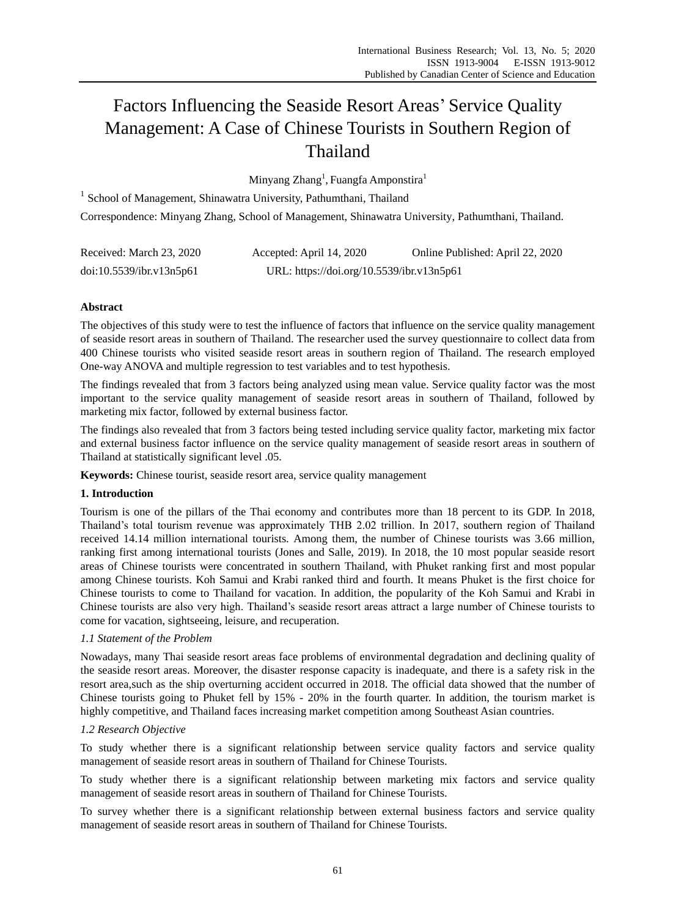# Factors Influencing the Seaside Resort Areas' Service Quality Management: A Case of Chinese Tourists in Southern Region of Thailand

Minyang Zhang<sup>1</sup>, Fuangfa Amponstira<sup>1</sup>

<sup>1</sup> School of Management, Shinawatra University, Pathumthani, Thailand Correspondence: Minyang Zhang, School of Management, Shinawatra University, Pathumthani, Thailand.

| Received: March 23, 2020 | Accepted: April 14, 2020                  | Online Published: April 22, 2020 |
|--------------------------|-------------------------------------------|----------------------------------|
| doi:10.5539/ibr.v13n5p61 | URL: https://doi.org/10.5539/ibr.v13n5p61 |                                  |

# **Abstract**

The objectives of this study were to test the influence of factors that influence on the service quality management of seaside resort areas in southern of Thailand. The researcher used the survey questionnaire to collect data from 400 Chinese tourists who visited seaside resort areas in southern region of Thailand. The research employed One-way ANOVA and multiple regression to test variables and to test hypothesis.

The findings revealed that from 3 factors being analyzed using mean value. Service quality factor was the most important to the service quality management of seaside resort areas in southern of Thailand, followed by marketing mix factor, followed by external business factor.

The findings also revealed that from 3 factors being tested including service quality factor, marketing mix factor and external business factor influence on the service quality management of seaside resort areas in southern of Thailand at statistically significant level .05.

**Keywords:** Chinese tourist, seaside resort area, service quality management

# **1. Introduction**

Tourism is one of the pillars of the Thai economy and contributes more than 18 percent to its GDP. In 2018, Thailand's total tourism revenue was approximately THB 2.02 trillion. In 2017, southern region of Thailand received 14.14 million international tourists. Among them, the number of Chinese tourists was 3.66 million, ranking first among international tourists (Jones and Salle, 2019). In 2018, the 10 most popular seaside resort areas of Chinese tourists were concentrated in southern Thailand, with Phuket ranking first and most popular among Chinese tourists. Koh Samui and Krabi ranked third and fourth. It means Phuket is the first choice for Chinese tourists to come to Thailand for vacation. In addition, the popularity of the Koh Samui and Krabi in Chinese tourists are also very high. Thailand's seaside resort areas attract a large number of Chinese tourists to come for vacation, sightseeing, leisure, and recuperation.

# *1.1 Statement of the Problem*

Nowadays, many Thai seaside resort areas face problems of environmental degradation and declining quality of the seaside resort areas. Moreover, the disaster response capacity is inadequate, and there is a safety risk in the resort area,such as the ship overturning accident occurred in 2018. The official data showed that the number of Chinese tourists going to Phuket fell by 15% - 20% in the fourth quarter. In addition, the tourism market is highly competitive, and Thailand faces increasing market competition among Southeast Asian countries.

## *1.2 Research Objective*

To study whether there is a significant relationship between service quality factors and service quality management of seaside resort areas in southern of Thailand for Chinese Tourists.

To study whether there is a significant relationship between marketing mix factors and service quality management of seaside resort areas in southern of Thailand for Chinese Tourists.

To survey whether there is a significant relationship between external business factors and service quality management of seaside resort areas in southern of Thailand for Chinese Tourists.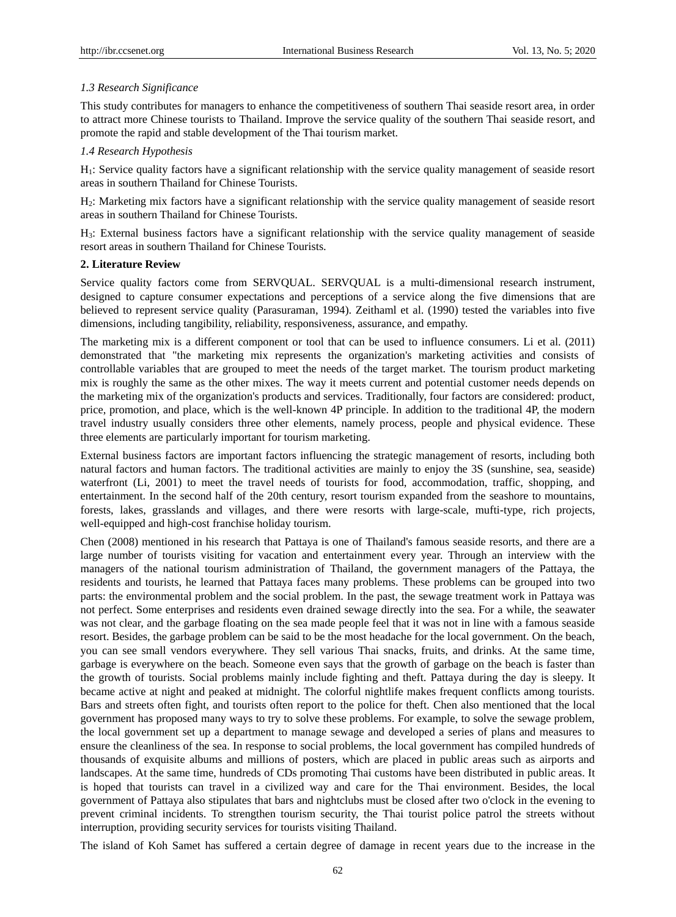## *1.3 Research Significance*

This study contributes for managers to enhance the competitiveness of southern Thai seaside resort area, in order to attract more Chinese tourists to Thailand. Improve the service quality of the southern Thai seaside resort, and promote the rapid and stable development of the Thai tourism market.

## *1.4 Research Hypothesis*

H1: Service quality factors have a significant relationship with the service quality management of seaside resort areas in southern Thailand for Chinese Tourists.

H2: Marketing mix factors have a significant relationship with the service quality management of seaside resort areas in southern Thailand for Chinese Tourists.

H3: External business factors have a significant relationship with the service quality management of seaside resort areas in southern Thailand for Chinese Tourists.

## **2. Literature Review**

Service quality factors come from SERVQUAL. SERVQUAL is a multi-dimensional research instrument, designed to capture consumer expectations and perceptions of a service along the five dimensions that are believed to represent service quality (Parasuraman, 1994). Zeithaml et al. (1990) tested the variables into five dimensions, including tangibility, reliability, responsiveness, assurance, and empathy.

The marketing mix is a different component or tool that can be used to influence consumers. Li et al. (2011) demonstrated that "the marketing mix represents the organization's marketing activities and consists of controllable variables that are grouped to meet the needs of the target market. The tourism product marketing mix is roughly the same as the other mixes. The way it meets current and potential customer needs depends on the marketing mix of the organization's products and services. Traditionally, four factors are considered: product, price, promotion, and place, which is the well-known 4P principle. In addition to the traditional 4P, the modern travel industry usually considers three other elements, namely process, people and physical evidence. These three elements are particularly important for tourism marketing.

External business factors are important factors influencing the strategic management of resorts, including both natural factors and human factors. The traditional activities are mainly to enjoy the 3S (sunshine, sea, seaside) waterfront (Li, 2001) to meet the travel needs of tourists for food, accommodation, traffic, shopping, and entertainment. In the second half of the 20th century, resort tourism expanded from the seashore to mountains, forests, lakes, grasslands and villages, and there were resorts with large-scale, mufti-type, rich projects, well-equipped and high-cost franchise holiday tourism.

Chen (2008) mentioned in his research that Pattaya is one of Thailand's famous seaside resorts, and there are a large number of tourists visiting for vacation and entertainment every year. Through an interview with the managers of the national tourism administration of Thailand, the government managers of the Pattaya, the residents and tourists, he learned that Pattaya faces many problems. These problems can be grouped into two parts: the environmental problem and the social problem. In the past, the sewage treatment work in Pattaya was not perfect. Some enterprises and residents even drained sewage directly into the sea. For a while, the seawater was not clear, and the garbage floating on the sea made people feel that it was not in line with a famous seaside resort. Besides, the garbage problem can be said to be the most headache for the local government. On the beach, you can see small vendors everywhere. They sell various Thai snacks, fruits, and drinks. At the same time, garbage is everywhere on the beach. Someone even says that the growth of garbage on the beach is faster than the growth of tourists. Social problems mainly include fighting and theft. Pattaya during the day is sleepy. It became active at night and peaked at midnight. The colorful nightlife makes frequent conflicts among tourists. Bars and streets often fight, and tourists often report to the police for theft. Chen also mentioned that the local government has proposed many ways to try to solve these problems. For example, to solve the sewage problem, the local government set up a department to manage sewage and developed a series of plans and measures to ensure the cleanliness of the sea. In response to social problems, the local government has compiled hundreds of thousands of exquisite albums and millions of posters, which are placed in public areas such as airports and landscapes. At the same time, hundreds of CDs promoting Thai customs have been distributed in public areas. It is hoped that tourists can travel in a civilized way and care for the Thai environment. Besides, the local government of Pattaya also stipulates that bars and nightclubs must be closed after two o'clock in the evening to prevent criminal incidents. To strengthen tourism security, the Thai tourist police patrol the streets without interruption, providing security services for tourists visiting Thailand.

The island of Koh Samet has suffered a certain degree of damage in recent years due to the increase in the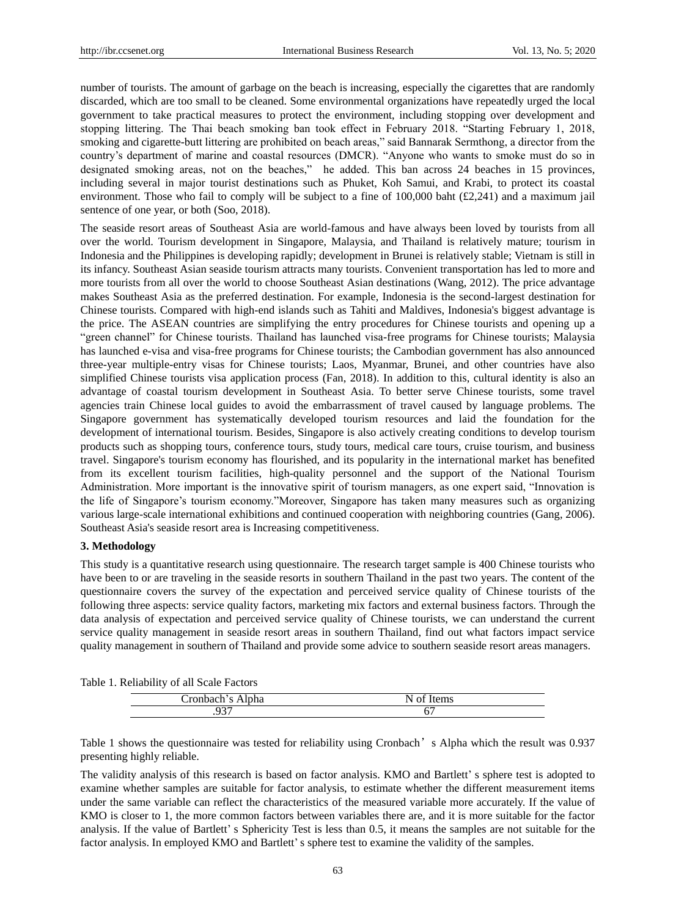number of tourists. The amount of garbage on the beach is increasing, especially the cigarettes that are randomly discarded, which are too small to be cleaned. Some environmental organizations have repeatedly urged the local government to take practical measures to protect the environment, including stopping over development and stopping littering. The Thai beach smoking ban took effect in February 2018. "Starting February 1, 2018, smoking and cigarette-butt littering are prohibited on beach areas," said Bannarak Sermthong, a director from the country's department of marine and coastal resources (DMCR). "Anyone who wants to smoke must do so in designated smoking areas, not on the beaches," he added. This ban across 24 beaches in 15 provinces, including several in major tourist destinations such as Phuket, Koh Samui, and Krabi, to protect its coastal environment. Those who fail to comply will be subject to a fine of 100,000 baht (£2,241) and a maximum jail sentence of one year, or both (Soo, 2018).

The seaside resort areas of Southeast Asia are world-famous and have always been loved by tourists from all over the world. Tourism development in Singapore, Malaysia, and Thailand is relatively mature; tourism in Indonesia and the Philippines is developing rapidly; development in Brunei is relatively stable; Vietnam is still in its infancy. Southeast Asian seaside tourism attracts many tourists. Convenient transportation has led to more and more tourists from all over the world to choose Southeast Asian destinations (Wang, 2012). The price advantage makes Southeast Asia as the preferred destination. For example, Indonesia is the second-largest destination for Chinese tourists. Compared with high-end islands such as Tahiti and Maldives, Indonesia's biggest advantage is the price. The ASEAN countries are simplifying the entry procedures for Chinese tourists and opening up a "green channel" for Chinese tourists. Thailand has launched visa-free programs for Chinese tourists; Malaysia has launched e-visa and visa-free programs for Chinese tourists; the Cambodian government has also announced three-year multiple-entry visas for Chinese tourists; Laos, Myanmar, Brunei, and other countries have also simplified Chinese tourists visa application process (Fan, 2018). In addition to this, cultural identity is also an advantage of coastal tourism development in Southeast Asia. To better serve Chinese tourists, some travel agencies train Chinese local guides to avoid the embarrassment of travel caused by language problems. The Singapore government has systematically developed tourism resources and laid the foundation for the development of international tourism. Besides, Singapore is also actively creating conditions to develop tourism products such as shopping tours, conference tours, study tours, medical care tours, cruise tourism, and business travel. Singapore's tourism economy has flourished, and its popularity in the international market has benefited from its excellent tourism facilities, high-quality personnel and the support of the National Tourism Administration. More important is the innovative spirit of tourism managers, as one expert said, "Innovation is the life of Singapore's tourism economy."Moreover, Singapore has taken many measures such as organizing various large-scale international exhibitions and continued cooperation with neighboring countries (Gang, 2006). Southeast Asia's seaside resort area is Increasing competitiveness.

## **3. Methodology**

This study is a quantitative research using questionnaire. The research target sample is 400 Chinese tourists who have been to or are traveling in the seaside resorts in southern Thailand in the past two years. The content of the questionnaire covers the survey of the expectation and perceived service quality of Chinese tourists of the following three aspects: service quality factors, marketing mix factors and external business factors. Through the data analysis of expectation and perceived service quality of Chinese tourists, we can understand the current service quality management in seaside resort areas in southern Thailand, find out what factors impact service quality management in southern of Thailand and provide some advice to southern seaside resort areas managers.

| $-$ | - |
|-----|---|
| па  | - |
|     |   |
| . . |   |

Table 1 shows the questionnaire was tested for reliability using Cronbach's Alpha which the result was 0.937 presenting highly reliable.

The validity analysis of this research is based on factor analysis. KMO and Bartlett' s sphere test is adopted to examine whether samples are suitable for factor analysis, to estimate whether the different measurement items under the same variable can reflect the characteristics of the measured variable more accurately. If the value of KMO is closer to 1, the more common factors between variables there are, and it is more suitable for the factor analysis. If the value of Bartlett' s Sphericity Test is less than 0.5, it means the samples are not suitable for the factor analysis. In employed KMO and Bartlett's sphere test to examine the validity of the samples.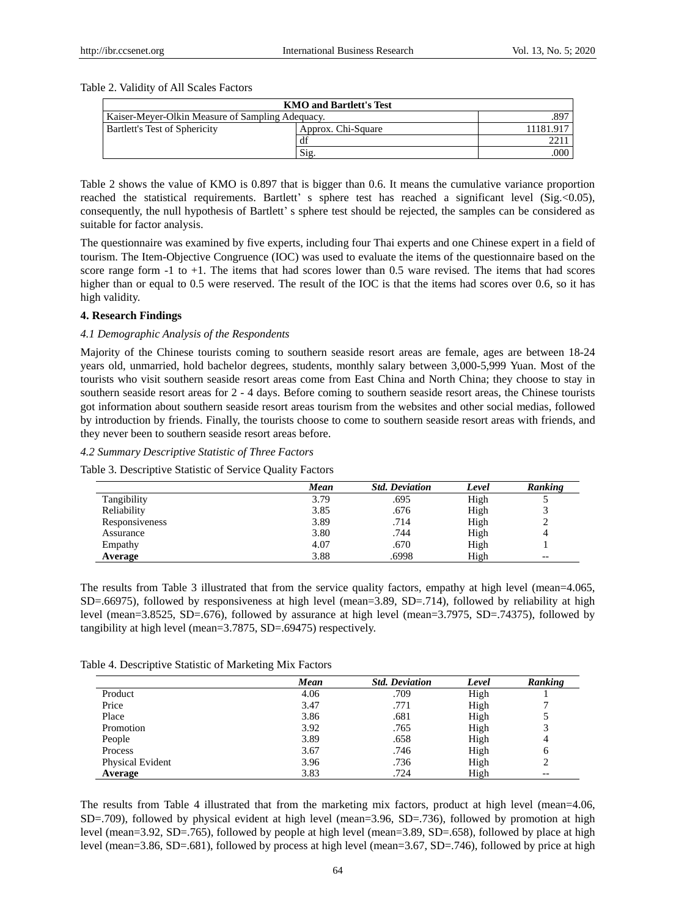## Table 2. Validity of All Scales Factors

| <b>KMO</b> and Bartlett's Test                           |                    |           |  |  |  |
|----------------------------------------------------------|--------------------|-----------|--|--|--|
| .897<br>Kaiser-Meyer-Olkin Measure of Sampling Adequacy. |                    |           |  |  |  |
| Bartlett's Test of Sphericity                            | Approx. Chi-Square | 11181.917 |  |  |  |
|                                                          | df                 |           |  |  |  |
|                                                          | Si <sub>2</sub>    | .000      |  |  |  |

Table 2 shows the value of KMO is 0.897 that is bigger than 0.6. It means the cumulative variance proportion reached the statistical requirements. Bartlett' s sphere test has reached a significant level (Sig. < 0.05), consequently, the null hypothesis of Bartlett' s sphere test should be rejected, the samples can be considered as suitable for factor analysis.

The questionnaire was examined by five experts, including four Thai experts and one Chinese expert in a field of tourism. The Item-Objective Congruence (IOC) was used to evaluate the items of the questionnaire based on the score range form -1 to +1. The items that had scores lower than 0.5 ware revised. The items that had scores higher than or equal to 0.5 were reserved. The result of the IOC is that the items had scores over 0.6, so it has high validity.

## **4. Research Findings**

## *4.1 Demographic Analysis of the Respondents*

Majority of the Chinese tourists coming to southern seaside resort areas are female, ages are between 18-24 years old, unmarried, hold bachelor degrees, students, monthly salary between 3,000-5,999 Yuan. Most of the tourists who visit southern seaside resort areas come from East China and North China; they choose to stay in southern seaside resort areas for 2 - 4 days. Before coming to southern seaside resort areas, the Chinese tourists got information about southern seaside resort areas tourism from the websites and other social medias, followed by introduction by friends. Finally, the tourists choose to come to southern seaside resort areas with friends, and they never been to southern seaside resort areas before.

## *4.2 Summary Descriptive Statistic of Three Factors*

Table 3. Descriptive Statistic of Service Quality Factors

|                | Mean | <b>Std. Deviation</b> | Level | Ranking |
|----------------|------|-----------------------|-------|---------|
| Tangibility    | 3.79 | .695                  | High  |         |
| Reliability    | 3.85 | .676                  | High  |         |
| Responsiveness | 3.89 | .714                  | High  |         |
| Assurance      | 3.80 | .744                  | High  |         |
| Empathy        | 4.07 | .670                  | High  |         |
| Average        | 3.88 | .6998                 | High  | --      |

The results from Table 3 illustrated that from the service quality factors, empathy at high level (mean=4.065, SD=.66975), followed by responsiveness at high level (mean=3.89, SD=.714), followed by reliability at high level (mean=3.8525, SD=.676), followed by assurance at high level (mean=3.7975, SD=.74375), followed by tangibility at high level (mean=3.7875, SD=.69475) respectively.

|  | Table 4. Descriptive Statistic of Marketing Mix Factors |  |  |  |
|--|---------------------------------------------------------|--|--|--|
|--|---------------------------------------------------------|--|--|--|

|                  | Mean | <b>Std. Deviation</b> | Level | <b>Ranking</b> |
|------------------|------|-----------------------|-------|----------------|
| Product          | 4.06 | .709                  | High  |                |
| Price            | 3.47 | .771                  | High  |                |
| Place            | 3.86 | .681                  | High  |                |
| Promotion        | 3.92 | .765                  | High  |                |
| People           | 3.89 | .658                  | High  |                |
| Process          | 3.67 | .746                  | High  | 6              |
| Physical Evident | 3.96 | .736                  | High  |                |
| Average          | 3.83 | .724                  | High  | --             |

The results from Table 4 illustrated that from the marketing mix factors, product at high level (mean=4.06, SD=.709), followed by physical evident at high level (mean=3.96, SD=.736), followed by promotion at high level (mean=3.92, SD=.765), followed by people at high level (mean=3.89, SD=.658), followed by place at high level (mean=3.86, SD=.681), followed by process at high level (mean=3.67, SD=.746), followed by price at high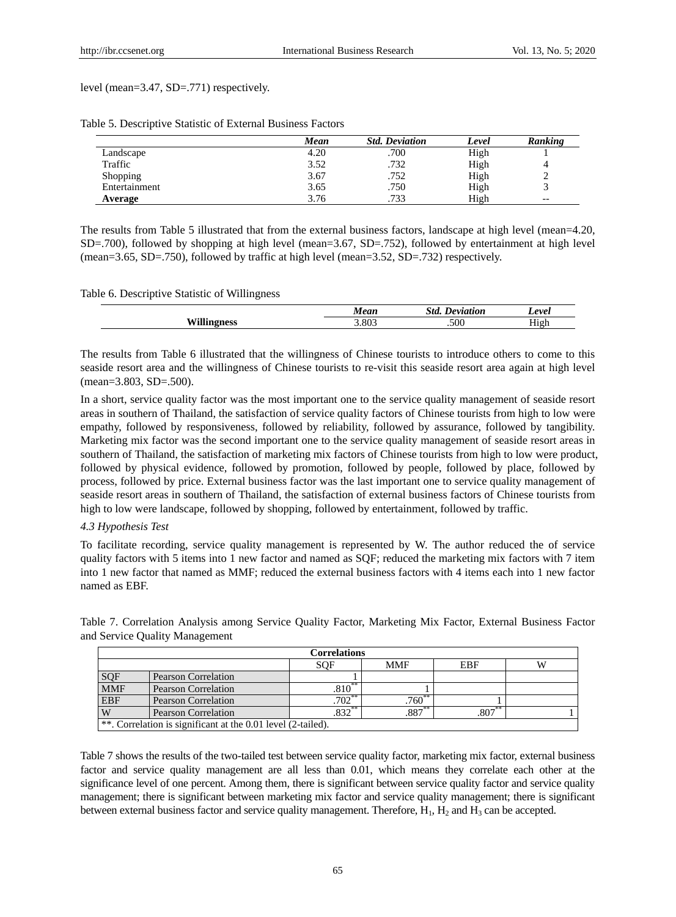level (mean=3.47, SD=.771) respectively.

|               | Mean | <b>Std. Deviation</b> | Level | Ranking |
|---------------|------|-----------------------|-------|---------|
| Landscape     | 4.20 | .700                  | High  |         |
| Traffic       | 3.52 | .732                  | High  |         |
| Shopping      | 3.67 | .752                  | High  |         |
| Entertainment | 3.65 | .750                  | High  |         |
| Average       | 3.76 | .733                  | High  | $- -$   |

Table 5. Descriptive Statistic of External Business Factors

The results from Table 5 illustrated that from the external business factors, landscape at high level (mean=4.20, SD=.700), followed by shopping at high level (mean=3.67, SD=.752), followed by entertainment at high level (mean=3.65, SD=.750), followed by traffic at high level (mean=3.52, SD=.732) respectively.

## Table 6. Descriptive Statistic of Willingness

| 0.01 | Std<br>$-11$ | evel             |
|------|--------------|------------------|
| .803 | .500         | $- - -$<br>.<br> |

The results from Table 6 illustrated that the willingness of Chinese tourists to introduce others to come to this seaside resort area and the willingness of Chinese tourists to re-visit this seaside resort area again at high level (mean=3.803, SD=.500).

In a short, service quality factor was the most important one to the service quality management of seaside resort areas in southern of Thailand, the satisfaction of service quality factors of Chinese tourists from high to low were empathy, followed by responsiveness, followed by reliability, followed by assurance, followed by tangibility. Marketing mix factor was the second important one to the service quality management of seaside resort areas in southern of Thailand, the satisfaction of marketing mix factors of Chinese tourists from high to low were product, followed by physical evidence, followed by promotion, followed by people, followed by place, followed by process, followed by price. External business factor was the last important one to service quality management of seaside resort areas in southern of Thailand, the satisfaction of external business factors of Chinese tourists from high to low were landscape, followed by shopping, followed by entertainment, followed by traffic.

## *4.3 Hypothesis Test*

To facilitate recording, service quality management is represented by W. The author reduced the of service quality factors with 5 items into 1 new factor and named as SQF; reduced the marketing mix factors with 7 item into 1 new factor that named as MMF; reduced the external business factors with 4 items each into 1 new factor named as EBF.

Table 7. Correlation Analysis among Service Quality Factor, Marketing Mix Factor, External Business Factor and Service Quality Management

|            | <b>Correlations</b>                                            |                      |          |           |  |  |  |
|------------|----------------------------------------------------------------|----------------------|----------|-----------|--|--|--|
|            | <b>MMF</b><br>EBF<br>SOF                                       |                      |          |           |  |  |  |
| SQF        | Pearson Correlation                                            |                      |          |           |  |  |  |
| <b>MMF</b> | <b>Pearson Correlation</b>                                     | $.810**$             |          |           |  |  |  |
| <b>EBF</b> | <b>Pearson Correlation</b>                                     | $.702$ <sup>**</sup> | $.760**$ |           |  |  |  |
| W          | <b>Pearson Correlation</b>                                     | .832                 | $.887**$ | $.807***$ |  |  |  |
|            | $\ast$ Correlation is significant at the 0.01 level (2-tailed) |                      |          |           |  |  |  |

\*\*. Correlation is significant at the 0.01 level (2-tailed).

Table 7 shows the results of the two-tailed test between service quality factor, marketing mix factor, external business factor and service quality management are all less than 0.01, which means they correlate each other at the significance level of one percent. Among them, there is significant between service quality factor and service quality management; there is significant between marketing mix factor and service quality management; there is significant between external business factor and service quality management. Therefore,  $H_1$ ,  $H_2$  and  $H_3$  can be accepted.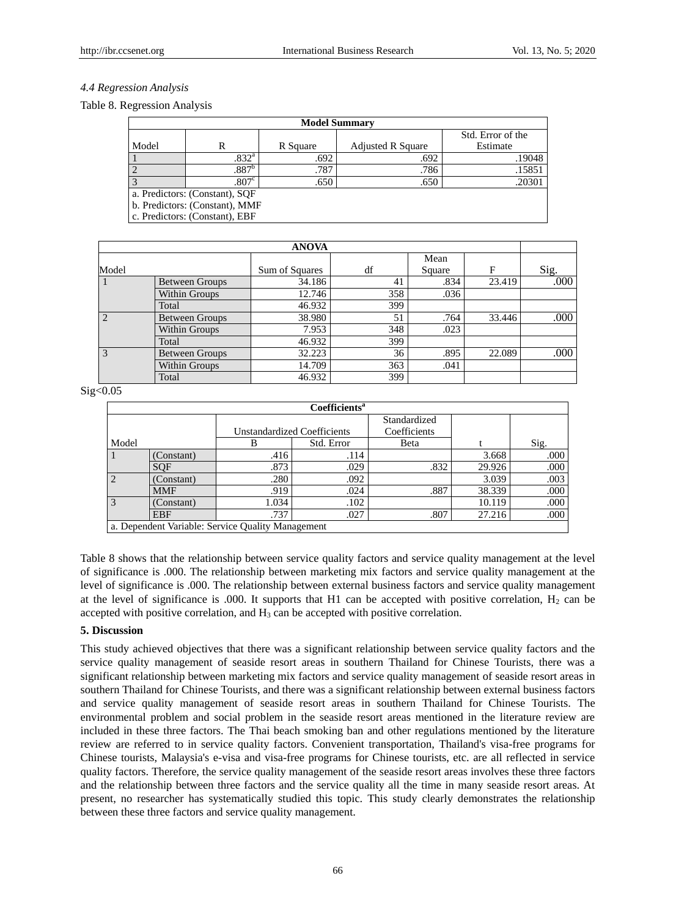## *4.4 Regression Analysis*

#### Table 8. Regression Analysis

| <b>Model Summary</b>           |                                |          |                          |                   |  |
|--------------------------------|--------------------------------|----------|--------------------------|-------------------|--|
|                                |                                |          |                          | Std. Error of the |  |
| Model                          | R                              | R Square | <b>Adjusted R Square</b> | Estimate          |  |
|                                | .832 <sup>a</sup>              | .692     | .692                     | .19048            |  |
|                                | .887 <sup>b</sup>              | .787     | .786                     | .15851            |  |
|                                | .807 <sup>c</sup>              | .650     | .650                     | .20301            |  |
| a. Predictors: (Constant), SQF |                                |          |                          |                   |  |
| b. Predictors: (Constant), MMF |                                |          |                          |                   |  |
|                                | c. Predictors: (Constant), EBF |          |                          |                   |  |

|       | <b>ANOVA</b>          |                |     |        |        |      |
|-------|-----------------------|----------------|-----|--------|--------|------|
|       |                       |                |     | Mean   |        |      |
| Model |                       | Sum of Squares | df  | Square | F      | Sig. |
|       | <b>Between Groups</b> | 34.186         | 41  | .834   | 23.419 | .000 |
|       | Within Groups         | 12.746         | 358 | .036   |        |      |
|       | Total                 | 46.932         | 399 |        |        |      |
|       | <b>Between Groups</b> | 38.980         | 51  | .764   | 33.446 | .000 |
|       | Within Groups         | 7.953          | 348 | .023   |        |      |
|       | Total                 | 46.932         | 399 |        |        |      |
| 3     | <b>Between Groups</b> | 32.223         | 36  | .895   | 22.089 | .000 |
|       | Within Groups         | 14.709         | 363 | .041   |        |      |
|       | Total                 | 46.932         | 399 |        |        |      |

#### Sig<0.05

| Coefficients <sup>a</sup>                         |            |                                    |            |              |        |      |
|---------------------------------------------------|------------|------------------------------------|------------|--------------|--------|------|
|                                                   |            |                                    |            | Standardized |        |      |
|                                                   |            | <b>Unstandardized Coefficients</b> |            | Coefficients |        |      |
| Model                                             |            | В                                  | Std. Error | Beta         |        | Sig. |
| $\vert$ 1                                         | (Constant) | .416                               | .114       |              | 3.668  | .000 |
|                                                   | <b>SOF</b> | .873                               | .029       | .832         | 29.926 | .000 |
| $\overline{2}$                                    | (Constant) | .280                               | .092       |              | 3.039  | .003 |
|                                                   | <b>MMF</b> | .919                               | .024       | .887         | 38.339 | .000 |
| $\overline{3}$                                    | (Constant) | 1.034                              | .102       |              | 10.119 | .000 |
|                                                   | <b>EBF</b> | .737                               | .027       | .807         | 27.216 | .000 |
| a. Dependent Variable: Service Quality Management |            |                                    |            |              |        |      |

Table 8 shows that the relationship between service quality factors and service quality management at the level of significance is .000. The relationship between marketing mix factors and service quality management at the level of significance is .000. The relationship between external business factors and service quality management at the level of significance is .000. It supports that H1 can be accepted with positive correlation,  $H_2$  can be accepted with positive correlation, and  $H_3$  can be accepted with positive correlation.

## **5. Discussion**

This study achieved objectives that there was a significant relationship between service quality factors and the service quality management of seaside resort areas in southern Thailand for Chinese Tourists, there was a significant relationship between marketing mix factors and service quality management of seaside resort areas in southern Thailand for Chinese Tourists, and there was a significant relationship between external business factors and service quality management of seaside resort areas in southern Thailand for Chinese Tourists. The environmental problem and social problem in the seaside resort areas mentioned in the literature review are included in these three factors. The Thai beach smoking ban and other regulations mentioned by the literature review are referred to in service quality factors. Convenient transportation, Thailand's visa-free programs for Chinese tourists, Malaysia's e-visa and visa-free programs for Chinese tourists, etc. are all reflected in service quality factors. Therefore, the service quality management of the seaside resort areas involves these three factors and the relationship between three factors and the service quality all the time in many seaside resort areas. At present, no researcher has systematically studied this topic. This study clearly demonstrates the relationship between these three factors and service quality management.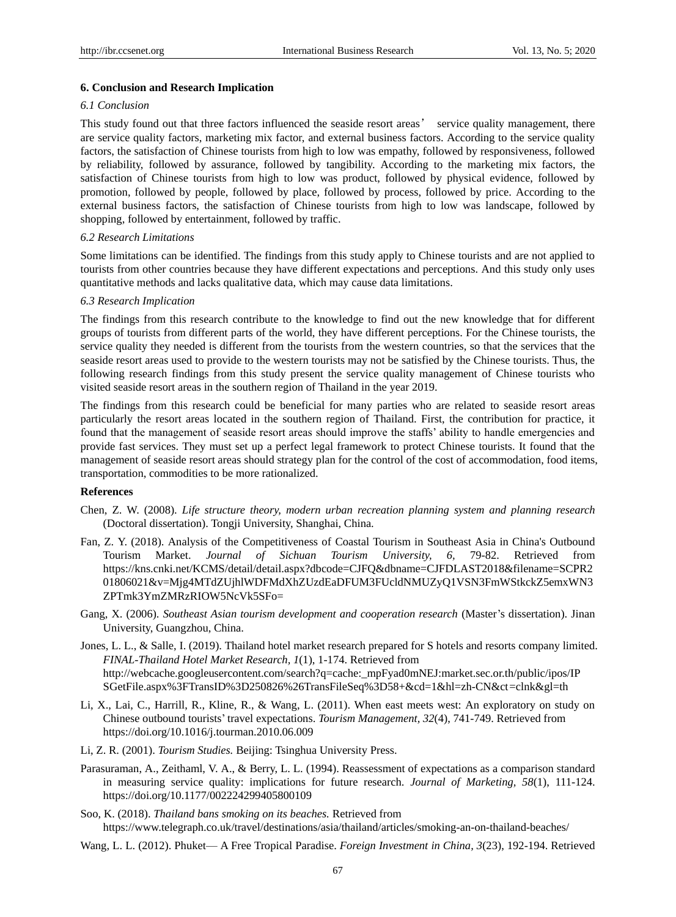## **6. Conclusion and Research Implication**

## *6.1 Conclusion*

This study found out that three factors influenced the seaside resort areas' service quality management, there are service quality factors, marketing mix factor, and external business factors. According to the service quality factors, the satisfaction of Chinese tourists from high to low was empathy, followed by responsiveness, followed by reliability, followed by assurance, followed by tangibility. According to the marketing mix factors, the satisfaction of Chinese tourists from high to low was product, followed by physical evidence, followed by promotion, followed by people, followed by place, followed by process, followed by price. According to the external business factors, the satisfaction of Chinese tourists from high to low was landscape, followed by shopping, followed by entertainment, followed by traffic.

## *6.2 Research Limitations*

Some limitations can be identified. The findings from this study apply to Chinese tourists and are not applied to tourists from other countries because they have different expectations and perceptions. And this study only uses quantitative methods and lacks qualitative data, which may cause data limitations.

## *6.3 Research Implication*

The findings from this research contribute to the knowledge to find out the new knowledge that for different groups of tourists from different parts of the world, they have different perceptions. For the Chinese tourists, the service quality they needed is different from the tourists from the western countries, so that the services that the seaside resort areas used to provide to the western tourists may not be satisfied by the Chinese tourists. Thus, the following research findings from this study present the service quality management of Chinese tourists who visited seaside resort areas in the southern region of Thailand in the year 2019.

The findings from this research could be beneficial for many parties who are related to seaside resort areas particularly the resort areas located in the southern region of Thailand. First, the contribution for practice, it found that the management of seaside resort areas should improve the staffs' ability to handle emergencies and provide fast services. They must set up a perfect legal framework to protect Chinese tourists. It found that the management of seaside resort areas should strategy plan for the control of the cost of accommodation, food items, transportation, commodities to be more rationalized.

#### **References**

- Chen, Z. W. (2008). *Life structure theory, modern urban recreation planning system and planning research* (Doctoral dissertation). Tongji University, Shanghai, China.
- Fan, Z. Y. (2018). Analysis of the Competitiveness of Coastal Tourism in Southeast Asia in China's Outbound Tourism Market. *Journal of Sichuan Tourism University, 6,* 79-82. Retrieved from https://kns.cnki.net/KCMS/detail/detail.aspx?dbcode=CJFQ&dbname=CJFDLAST2018&filename=SCPR2 01806021&v=Mjg4MTdZUjhlWDFMdXhZUzdEaDFUM3FUcldNMUZyQ1VSN3FmWStkckZ5emxWN3 ZPTmk3YmZMRzRIOW5NcVk5SFo=
- Gang, X. (2006). *Southeast Asian tourism development and cooperation research* (Master's dissertation). Jinan University, Guangzhou, China.
- Jones, L. L., & Salle, I. (2019). Thailand hotel market research prepared for S hotels and resorts company limited. *FINAL-Thailand Hotel Market Research, 1*(1), 1-174. Retrieved from http://webcache.googleusercontent.com/search?q=cache:\_mpFyad0mNEJ:market.sec.or.th/public/ipos/IP SGetFile.aspx%3FTransID%3D250826%26TransFileSeq%3D58+&cd=1&hl=zh-CN&ct=clnk&gl=th
- Li, X., Lai, C., Harrill, R., Kline, R., & Wang, L. (2011). When east meets west: An exploratory on study on Chinese outbound tourists' travel expectations. *Tourism Management, 32*(4), 741-749. Retrieved from https://doi.org/10.1016/j.tourman.2010.06.009
- Li, Z. R. (2001). *Tourism Studies.* Beijing: Tsinghua University Press.
- Parasuraman, A., Zeithaml, V. A., & Berry, L. L. (1994). Reassessment of expectations as a comparison standard in measuring service quality: implications for future research. *Journal of Marketing, 58*(1), 111-124. https://doi.org/10.1177/002224299405800109
- Soo, K. (2018). *Thailand bans smoking on its beaches.* Retrieved from https://www.telegraph.co.uk/travel/destinations/asia/thailand/articles/smoking-an-on-thailand-beaches/
- Wang, L. L. (2012). Phuket— A Free Tropical Paradise. *Foreign Investment in China, 3*(23), 192-194. Retrieved